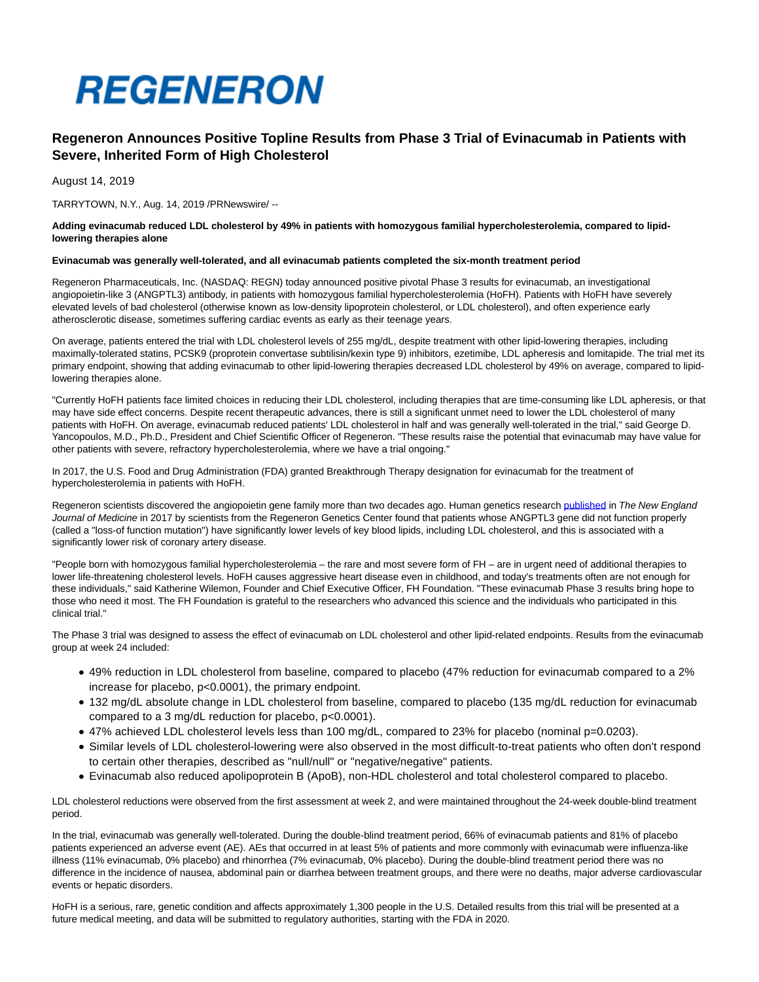

# **Regeneron Announces Positive Topline Results from Phase 3 Trial of Evinacumab in Patients with Severe, Inherited Form of High Cholesterol**

August 14, 2019

TARRYTOWN, N.Y., Aug. 14, 2019 /PRNewswire/ --

**Adding evinacumab reduced LDL cholesterol by 49% in patients with homozygous familial hypercholesterolemia, compared to lipidlowering therapies alone**

#### **Evinacumab was generally well-tolerated, and all evinacumab patients completed the six-month treatment period**

Regeneron Pharmaceuticals, Inc. (NASDAQ: REGN) today announced positive pivotal Phase 3 results for evinacumab, an investigational angiopoietin-like 3 (ANGPTL3) antibody, in patients with homozygous familial hypercholesterolemia (HoFH). Patients with HoFH have severely elevated levels of bad cholesterol (otherwise known as low-density lipoprotein cholesterol, or LDL cholesterol), and often experience early atherosclerotic disease, sometimes suffering cardiac events as early as their teenage years.

On average, patients entered the trial with LDL cholesterol levels of 255 mg/dL, despite treatment with other lipid-lowering therapies, including maximally-tolerated statins, PCSK9 (proprotein convertase subtilisin/kexin type 9) inhibitors, ezetimibe, LDL apheresis and lomitapide. The trial met its primary endpoint, showing that adding evinacumab to other lipid-lowering therapies decreased LDL cholesterol by 49% on average, compared to lipidlowering therapies alone.

"Currently HoFH patients face limited choices in reducing their LDL cholesterol, including therapies that are time-consuming like LDL apheresis, or that may have side effect concerns. Despite recent therapeutic advances, there is still a significant unmet need to lower the LDL cholesterol of many patients with HoFH. On average, evinacumab reduced patients' LDL cholesterol in half and was generally well-tolerated in the trial," said George D. Yancopoulos, M.D., Ph.D., President and Chief Scientific Officer of Regeneron. "These results raise the potential that evinacumab may have value for other patients with severe, refractory hypercholesterolemia, where we have a trial ongoing."

In 2017, the U.S. Food and Drug Administration (FDA) granted Breakthrough Therapy designation for evinacumab for the treatment of hypercholesterolemia in patients with HoFH.

Regeneron scientists discovered the angiopoietin gene family more than two decades ago. Human genetics research [published i](https://c212.net/c/link/?t=0&l=en&o=2550992-1&h=2065772958&u=https%3A%2F%2Fwww.nejm.org%2Fdoi%2Ffull%2F10.1056%2FNEJMoa1612790&a=published)n The New England Journal of Medicine in 2017 by scientists from the Regeneron Genetics Center found that patients whose ANGPTL3 gene did not function properly (called a "loss-of function mutation") have significantly lower levels of key blood lipids, including LDL cholesterol, and this is associated with a significantly lower risk of coronary artery disease.

"People born with homozygous familial hypercholesterolemia – the rare and most severe form of FH – are in urgent need of additional therapies to lower life-threatening cholesterol levels. HoFH causes aggressive heart disease even in childhood, and today's treatments often are not enough for these individuals," said Katherine Wilemon, Founder and Chief Executive Officer, FH Foundation. "These evinacumab Phase 3 results bring hope to those who need it most. The FH Foundation is grateful to the researchers who advanced this science and the individuals who participated in this clinical trial."

The Phase 3 trial was designed to assess the effect of evinacumab on LDL cholesterol and other lipid-related endpoints. Results from the evinacumab group at week 24 included:

- 49% reduction in LDL cholesterol from baseline, compared to placebo (47% reduction for evinacumab compared to a 2% increase for placebo, p<0.0001), the primary endpoint.
- 132 mg/dL absolute change in LDL cholesterol from baseline, compared to placebo (135 mg/dL reduction for evinacumab compared to a 3 mg/dL reduction for placebo, p<0.0001).
- 47% achieved LDL cholesterol levels less than 100 mg/dL, compared to 23% for placebo (nominal p=0.0203).
- Similar levels of LDL cholesterol-lowering were also observed in the most difficult-to-treat patients who often don't respond to certain other therapies, described as "null/null" or "negative/negative" patients.
- Evinacumab also reduced apolipoprotein B (ApoB), non-HDL cholesterol and total cholesterol compared to placebo.

LDL cholesterol reductions were observed from the first assessment at week 2, and were maintained throughout the 24-week double-blind treatment period.

In the trial, evinacumab was generally well-tolerated. During the double-blind treatment period, 66% of evinacumab patients and 81% of placebo patients experienced an adverse event (AE). AEs that occurred in at least 5% of patients and more commonly with evinacumab were influenza-like illness (11% evinacumab, 0% placebo) and rhinorrhea (7% evinacumab, 0% placebo). During the double-blind treatment period there was no difference in the incidence of nausea, abdominal pain or diarrhea between treatment groups, and there were no deaths, major adverse cardiovascular events or hepatic disorders.

HoFH is a serious, rare, genetic condition and affects approximately 1,300 people in the U.S. Detailed results from this trial will be presented at a future medical meeting, and data will be submitted to regulatory authorities, starting with the FDA in 2020.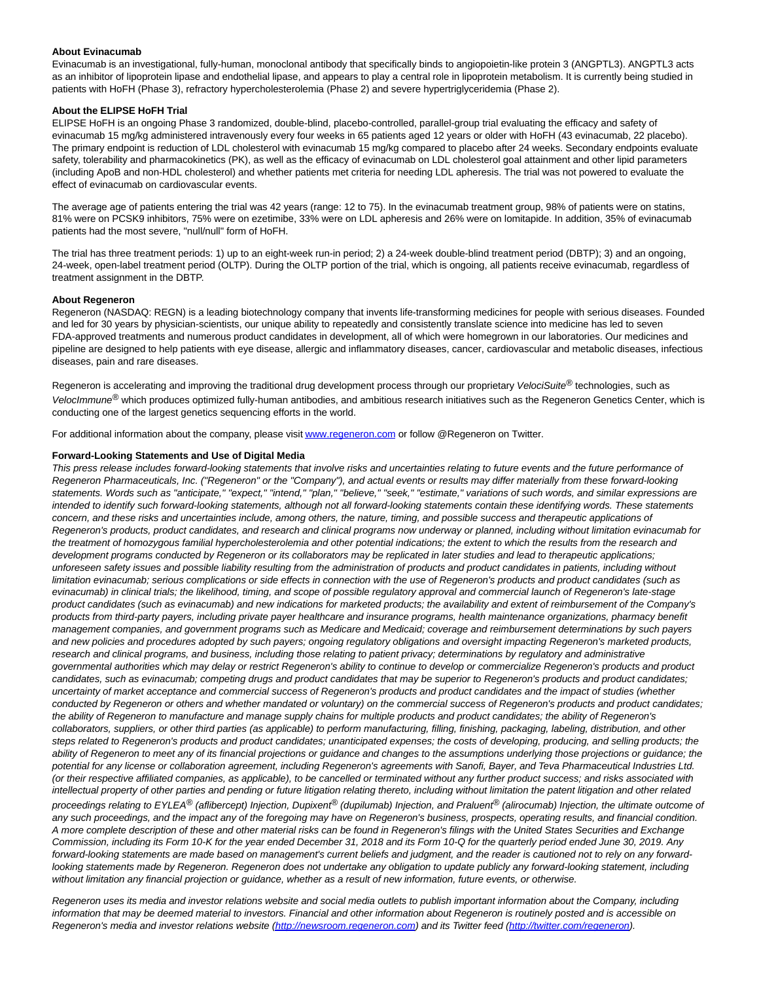#### **About Evinacumab**

Evinacumab is an investigational, fully-human, monoclonal antibody that specifically binds to angiopoietin-like protein 3 (ANGPTL3). ANGPTL3 acts as an inhibitor of lipoprotein lipase and endothelial lipase, and appears to play a central role in lipoprotein metabolism. It is currently being studied in patients with HoFH (Phase 3), refractory hypercholesterolemia (Phase 2) and severe hypertriglyceridemia (Phase 2).

### **About the ELIPSE HoFH Trial**

ELIPSE HoFH is an ongoing Phase 3 randomized, double-blind, placebo-controlled, parallel-group trial evaluating the efficacy and safety of evinacumab 15 mg/kg administered intravenously every four weeks in 65 patients aged 12 years or older with HoFH (43 evinacumab, 22 placebo). The primary endpoint is reduction of LDL cholesterol with evinacumab 15 mg/kg compared to placebo after 24 weeks. Secondary endpoints evaluate safety, tolerability and pharmacokinetics (PK), as well as the efficacy of evinacumab on LDL cholesterol goal attainment and other lipid parameters (including ApoB and non-HDL cholesterol) and whether patients met criteria for needing LDL apheresis. The trial was not powered to evaluate the effect of evinacumab on cardiovascular events.

The average age of patients entering the trial was 42 years (range: 12 to 75). In the evinacumab treatment group, 98% of patients were on statins, 81% were on PCSK9 inhibitors, 75% were on ezetimibe, 33% were on LDL apheresis and 26% were on lomitapide. In addition, 35% of evinacumab patients had the most severe, "null/null" form of HoFH.

The trial has three treatment periods: 1) up to an eight-week run-in period; 2) a 24-week double-blind treatment period (DBTP); 3) and an ongoing, 24-week, open-label treatment period (OLTP). During the OLTP portion of the trial, which is ongoing, all patients receive evinacumab, regardless of treatment assignment in the DBTP.

## **About Regeneron**

Regeneron (NASDAQ: REGN) is a leading biotechnology company that invents life-transforming medicines for people with serious diseases. Founded and led for 30 years by physician-scientists, our unique ability to repeatedly and consistently translate science into medicine has led to seven FDA-approved treatments and numerous product candidates in development, all of which were homegrown in our laboratories. Our medicines and pipeline are designed to help patients with eye disease, allergic and inflammatory diseases, cancer, cardiovascular and metabolic diseases, infectious diseases, pain and rare diseases.

Regeneron is accelerating and improving the traditional drug development process through our proprietary VelociSuite® technologies, such as VelocImmune<sup>®</sup> which produces optimized fully-human antibodies, and ambitious research initiatives such as the Regeneron Genetics Center, which is conducting one of the largest genetics sequencing efforts in the world.

For additional information about the company, please visi[t www.regeneron.com o](https://c212.net/c/link/?t=0&l=en&o=2550992-1&h=3860216774&u=http%3A%2F%2Fwww.regeneron.com%2F&a=www.regeneron.com)r follow @Regeneron on Twitter.

# **Forward-Looking Statements and Use of Digital Media**

This press release includes forward-looking statements that involve risks and uncertainties relating to future events and the future performance of Regeneron Pharmaceuticals, Inc. ("Regeneron" or the "Company"), and actual events or results may differ materially from these forward-looking statements. Words such as "anticipate," "expect," "intend," "plan," "believe," "seek," "estimate," variations of such words, and similar expressions are intended to identify such forward-looking statements, although not all forward-looking statements contain these identifying words. These statements concern, and these risks and uncertainties include, among others, the nature, timing, and possible success and therapeutic applications of Regeneron's products, product candidates, and research and clinical programs now underway or planned, including without limitation evinacumab for the treatment of homozygous familial hypercholesterolemia and other potential indications; the extent to which the results from the research and development programs conducted by Regeneron or its collaborators may be replicated in later studies and lead to therapeutic applications; unforeseen safety issues and possible liability resulting from the administration of products and product candidates in patients, including without limitation evinacumab; serious complications or side effects in connection with the use of Regeneron's products and product candidates (such as evinacumab) in clinical trials; the likelihood, timing, and scope of possible regulatory approval and commercial launch of Regeneron's late-stage product candidates (such as evinacumab) and new indications for marketed products; the availability and extent of reimbursement of the Company's products from third-party payers, including private payer healthcare and insurance programs, health maintenance organizations, pharmacy benefit management companies, and government programs such as Medicare and Medicaid; coverage and reimbursement determinations by such payers and new policies and procedures adopted by such payers; ongoing regulatory obligations and oversight impacting Regeneron's marketed products, research and clinical programs, and business, including those relating to patient privacy; determinations by regulatory and administrative governmental authorities which may delay or restrict Regeneron's ability to continue to develop or commercialize Regeneron's products and product candidates, such as evinacumab; competing drugs and product candidates that may be superior to Regeneron's products and product candidates; uncertainty of market acceptance and commercial success of Regeneron's products and product candidates and the impact of studies (whether conducted by Regeneron or others and whether mandated or voluntary) on the commercial success of Regeneron's products and product candidates; the ability of Regeneron to manufacture and manage supply chains for multiple products and product candidates; the ability of Regeneron's collaborators, suppliers, or other third parties (as applicable) to perform manufacturing, filling, finishing, packaging, labeling, distribution, and other steps related to Regeneron's products and product candidates; unanticipated expenses; the costs of developing, producing, and selling products; the ability of Regeneron to meet any of its financial projections or guidance and changes to the assumptions underlying those projections or guidance; the potential for any license or collaboration agreement, including Regeneron's agreements with Sanofi, Bayer, and Teva Pharmaceutical Industries Ltd. (or their respective affiliated companies, as applicable), to be cancelled or terminated without any further product success; and risks associated with intellectual property of other parties and pending or future litigation relating thereto, including without limitation the patent litigation and other related proceedings relating to EYLEA<sup>®</sup> (aflibercept) Injection, Dupixent<sup>®</sup> (dupilumab) Injection, and Praluent<sup>®</sup> (alirocumab) Injection, the ultimate outcome of any such proceedings, and the impact any of the foregoing may have on Regeneron's business, prospects, operating results, and financial condition. A more complete description of these and other material risks can be found in Regeneron's filings with the United States Securities and Exchange Commission, including its Form 10-K for the year ended December 31, 2018 and its Form 10-Q for the quarterly period ended June 30, 2019. Any forward-looking statements are made based on management's current beliefs and judgment, and the reader is cautioned not to rely on any forwardlooking statements made by Regeneron. Regeneron does not undertake any obligation to update publicly any forward-looking statement, including without limitation any financial projection or guidance, whether as a result of new information, future events, or otherwise.

Regeneron uses its media and investor relations website and social media outlets to publish important information about the Company, including information that may be deemed material to investors. Financial and other information about Regeneron is routinely posted and is accessible on Regeneron's media and investor relations website [\(http://newsroom.regeneron.com\)](https://c212.net/c/link/?t=0&l=en&o=2550992-1&h=3481223356&u=http%3A%2F%2Fnewsroom.regeneron.com%2F&a=http%3A%2F%2Fnewsroom.regeneron.com) and its Twitter feed [\(http://twitter.com/regeneron\).](https://c212.net/c/link/?t=0&l=en&o=2550992-1&h=801484620&u=http%3A%2F%2Ftwitter.com%2Fregeneron&a=http%3A%2F%2Ftwitter.com%2Fregeneron)